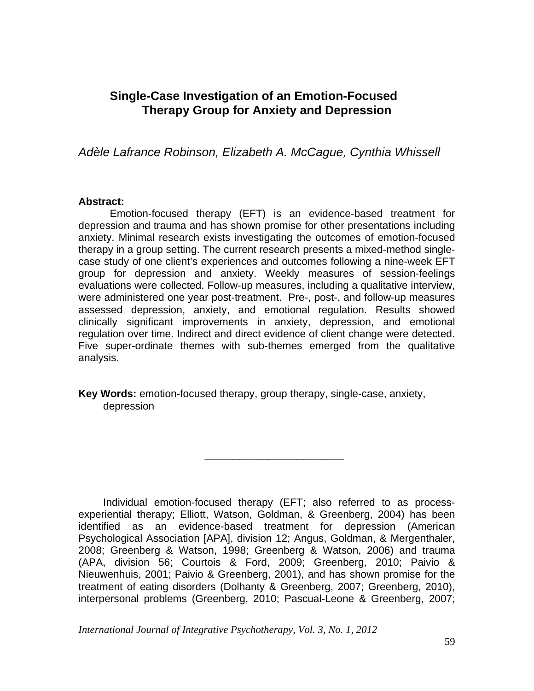# **Single-Case Investigation of an Emotion-Focused Therapy Group for Anxiety and Depression**

*Adèle Lafrance Robinson, Elizabeth A. McCague, Cynthia Whissell* 

#### **Abstract:**

Emotion-focused therapy (EFT) is an evidence-based treatment for depression and trauma and has shown promise for other presentations including anxiety. Minimal research exists investigating the outcomes of emotion-focused therapy in a group setting. The current research presents a mixed-method singlecase study of one client's experiences and outcomes following a nine-week EFT group for depression and anxiety. Weekly measures of session-feelings evaluations were collected. Follow-up measures, including a qualitative interview, were administered one year post-treatment. Pre-, post-, and follow-up measures assessed depression, anxiety, and emotional regulation. Results showed clinically significant improvements in anxiety, depression, and emotional regulation over time. Indirect and direct evidence of client change were detected. Five super-ordinate themes with sub-themes emerged from the qualitative analysis.

**Key Words:** emotion-focused therapy, group therapy, single-case, anxiety, depression

 $\frac{1}{2}$  ,  $\frac{1}{2}$  ,  $\frac{1}{2}$  ,  $\frac{1}{2}$  ,  $\frac{1}{2}$  ,  $\frac{1}{2}$  ,  $\frac{1}{2}$  ,  $\frac{1}{2}$  ,  $\frac{1}{2}$  ,  $\frac{1}{2}$  ,  $\frac{1}{2}$  ,  $\frac{1}{2}$  ,  $\frac{1}{2}$  ,  $\frac{1}{2}$  ,  $\frac{1}{2}$  ,  $\frac{1}{2}$  ,  $\frac{1}{2}$  ,  $\frac{1}{2}$  ,  $\frac{1$ 

Individual emotion-focused therapy (EFT; also referred to as processexperiential therapy; Elliott, Watson, Goldman, & Greenberg, 2004) has been identified as an evidence-based treatment for depression (American Psychological Association [APA], division 12; Angus, Goldman, & Mergenthaler, 2008; Greenberg & Watson, 1998; Greenberg & Watson, 2006) and trauma (APA, division 56; Courtois & Ford, 2009; Greenberg, 2010; Paivio & Nieuwenhuis, 2001; Paivio & Greenberg, 2001), and has shown promise for the treatment of eating disorders (Dolhanty & Greenberg, 2007; Greenberg, 2010), interpersonal problems (Greenberg, 2010; Pascual-Leone & Greenberg, 2007;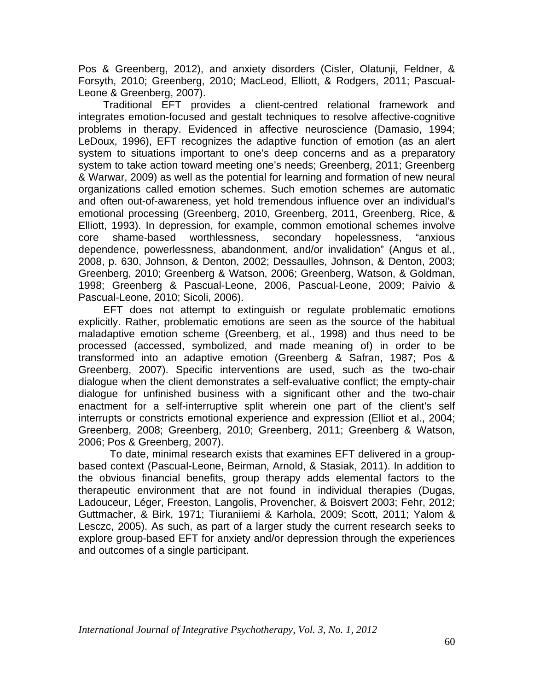Pos & Greenberg, 2012), and anxiety disorders (Cisler, Olatunji, Feldner, & Forsyth, 2010; Greenberg, 2010; MacLeod, Elliott, & Rodgers, 2011; Pascual-Leone & Greenberg, 2007).

Traditional EFT provides a client-centred relational framework and integrates emotion-focused and gestalt techniques to resolve affective-cognitive problems in therapy. Evidenced in affective neuroscience (Damasio, 1994; LeDoux, 1996), EFT recognizes the adaptive function of emotion (as an alert system to situations important to one's deep concerns and as a preparatory system to take action toward meeting one's needs; Greenberg, 2011; Greenberg & Warwar, 2009) as well as the potential for learning and formation of new neural organizations called emotion schemes. Such emotion schemes are automatic and often out-of-awareness, yet hold tremendous influence over an individual's emotional processing (Greenberg, 2010, Greenberg, 2011, Greenberg, Rice, & Elliott, 1993). In depression, for example, common emotional schemes involve core shame-based worthlessness, secondary hopelessness, "anxious dependence, powerlessness, abandonment, and/or invalidation" (Angus et al., 2008, p. 630, Johnson, & Denton, 2002; Dessaulles, Johnson, & Denton, 2003; Greenberg, 2010; Greenberg & Watson, 2006; Greenberg, Watson, & Goldman, 1998; Greenberg & Pascual-Leone, 2006, Pascual-Leone, 2009; Paivio & Pascual-Leone, 2010; Sicoli, 2006).

 EFT does not attempt to extinguish or regulate problematic emotions explicitly. Rather, problematic emotions are seen as the source of the habitual maladaptive emotion scheme (Greenberg, et al., 1998) and thus need to be processed (accessed, symbolized, and made meaning of) in order to be transformed into an adaptive emotion (Greenberg & Safran, 1987; Pos & Greenberg, 2007). Specific interventions are used, such as the two-chair dialogue when the client demonstrates a self-evaluative conflict; the empty-chair dialogue for unfinished business with a significant other and the two-chair enactment for a self-interruptive split wherein one part of the client's self interrupts or constricts emotional experience and expression (Elliot et al., 2004; Greenberg, 2008; Greenberg, 2010; Greenberg, 2011; Greenberg & Watson, 2006; Pos & Greenberg, 2007).

To date, minimal research exists that examines EFT delivered in a groupbased context (Pascual-Leone, Beirman, Arnold, & Stasiak, 2011). In addition to the obvious financial benefits, group therapy adds elemental factors to the therapeutic environment that are not found in individual therapies (Dugas, Ladouceur, Léger, Freeston, Langolis, Provencher, & Boisvert 2003; Fehr, 2012; Guttmacher, & Birk, 1971; Tiuraniiemi & Karhola, 2009; Scott, 2011; Yalom & Lesczc, 2005). As such, as part of a larger study the current research seeks to explore group-based EFT for anxiety and/or depression through the experiences and outcomes of a single participant.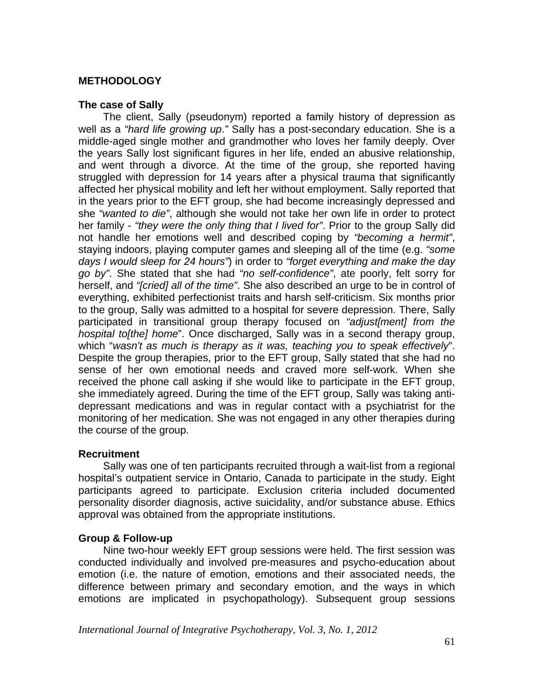# **METHODOLOGY**

#### **The case of Sally**

The client, Sally (pseudonym) reported a family history of depression as well as a *"hard life growing up*.*"* Sally has a post-secondary education. She is a middle-aged single mother and grandmother who loves her family deeply. Over the years Sally lost significant figures in her life, ended an abusive relationship, and went through a divorce. At the time of the group, she reported having struggled with depression for 14 years after a physical trauma that significantly affected her physical mobility and left her without employment. Sally reported that in the years prior to the EFT group, she had become increasingly depressed and she *"wanted to die"*, although she would not take her own life in order to protect her family - *"they were the only thing that I lived for"*. Prior to the group Sally did not handle her emotions well and described coping by *"becoming a hermit"*, staying indoors, playing computer games and sleeping all of the time (e.g. *"some days I would sleep for 24 hours"*) in order to *"forget everything and make the day go by"*. She stated that she had *"no self-confidence"*, ate poorly, felt sorry for herself, and *"[cried] all of the time"*. She also described an urge to be in control of everything, exhibited perfectionist traits and harsh self-criticism. Six months prior to the group, Sally was admitted to a hospital for severe depression. There, Sally participated in transitional group therapy focused on *"adjust[ment] from the hospital to[the] home*". Once discharged, Sally was in a second therapy group, which "*wasn't as much is therapy as it was, teaching you to speak effectively*". Despite the group therapies, prior to the EFT group, Sally stated that she had no sense of her own emotional needs and craved more self-work. When she received the phone call asking if she would like to participate in the EFT group, she immediately agreed. During the time of the EFT group, Sally was taking antidepressant medications and was in regular contact with a psychiatrist for the monitoring of her medication. She was not engaged in any other therapies during the course of the group.

# **Recruitment**

 Sally was one of ten participants recruited through a wait-list from a regional hospital's outpatient service in Ontario, Canada to participate in the study. Eight participants agreed to participate. Exclusion criteria included documented personality disorder diagnosis, active suicidality, and/or substance abuse. Ethics approval was obtained from the appropriate institutions.

# **Group & Follow-up**

 Nine two-hour weekly EFT group sessions were held. The first session was conducted individually and involved pre-measures and psycho-education about emotion (i.e. the nature of emotion, emotions and their associated needs, the difference between primary and secondary emotion, and the ways in which emotions are implicated in psychopathology). Subsequent group sessions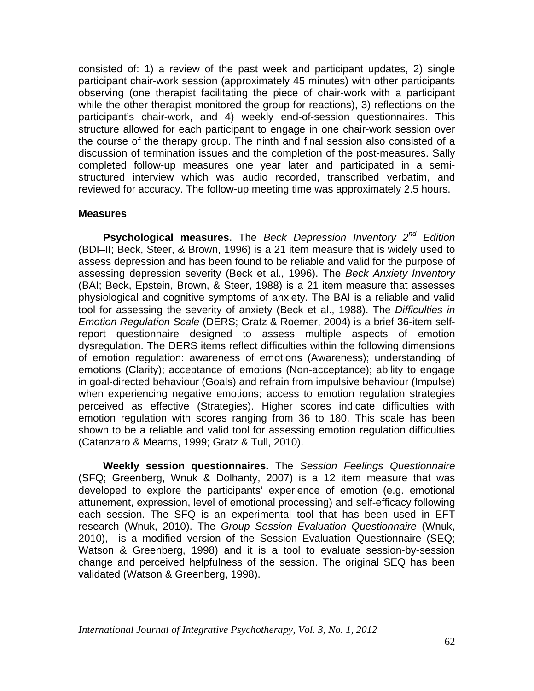consisted of: 1) a review of the past week and participant updates, 2) single participant chair-work session (approximately 45 minutes) with other participants observing (one therapist facilitating the piece of chair-work with a participant while the other therapist monitored the group for reactions), 3) reflections on the participant's chair-work, and 4) weekly end-of-session questionnaires. This structure allowed for each participant to engage in one chair-work session over the course of the therapy group. The ninth and final session also consisted of a discussion of termination issues and the completion of the post-measures. Sally completed follow-up measures one year later and participated in a semistructured interview which was audio recorded, transcribed verbatim, and reviewed for accuracy. The follow-up meeting time was approximately 2.5 hours.

#### **Measures**

**Psychological measures.** The *Beck Depression Inventory 2nd Edition* (BDI–II; Beck, Steer, & Brown, 1996) is a 21 item measure that is widely used to assess depression and has been found to be reliable and valid for the purpose of assessing depression severity (Beck et al., 1996). The *Beck Anxiety Inventory* (BAI; Beck, Epstein, Brown, & Steer, 1988) is a 21 item measure that assesses physiological and cognitive symptoms of anxiety. The BAI is a reliable and valid tool for assessing the severity of anxiety (Beck et al., 1988). The *Difficulties in Emotion Regulation Scale* (DERS; Gratz & Roemer, 2004) is a brief 36-item selfreport questionnaire designed to assess multiple aspects of emotion dysregulation. The DERS items reflect difficulties within the following dimensions of emotion regulation: awareness of emotions (Awareness); understanding of emotions (Clarity); acceptance of emotions (Non-acceptance); ability to engage in goal-directed behaviour (Goals) and refrain from impulsive behaviour (Impulse) when experiencing negative emotions; access to emotion regulation strategies perceived as effective (Strategies). Higher scores indicate difficulties with emotion regulation with scores ranging from 36 to 180. This scale has been shown to be a reliable and valid tool for assessing emotion regulation difficulties (Catanzaro & Mearns, 1999; Gratz & Tull, 2010).

**Weekly session questionnaires.** The *Session Feelings Questionnaire* (SFQ; Greenberg, Wnuk & Dolhanty, 2007) is a 12 item measure that was developed to explore the participants' experience of emotion (e.g. emotional attunement, expression, level of emotional processing) and self-efficacy following each session. The SFQ is an experimental tool that has been used in EFT research (Wnuk, 2010). The *Group Session Evaluation Questionnaire* (Wnuk, 2010), is a modified version of the Session Evaluation Questionnaire (SEQ; Watson & Greenberg, 1998) and it is a tool to evaluate session-by-session change and perceived helpfulness of the session. The original SEQ has been validated (Watson & Greenberg, 1998).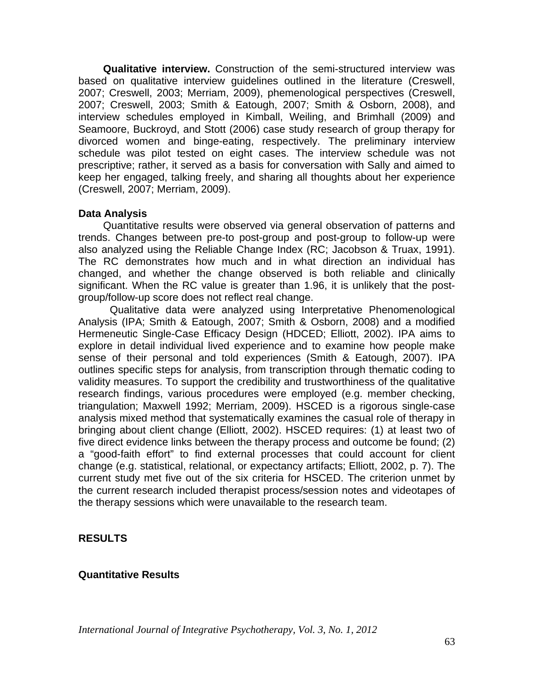**Qualitative interview.** Construction of the semi-structured interview was based on qualitative interview guidelines outlined in the literature (Creswell, 2007; Creswell, 2003; Merriam, 2009), phemenological perspectives (Creswell, 2007; Creswell, 2003; Smith & Eatough, 2007; Smith & Osborn, 2008), and interview schedules employed in Kimball, Weiling, and Brimhall (2009) and Seamoore, Buckroyd, and Stott (2006) case study research of group therapy for divorced women and binge-eating, respectively. The preliminary interview schedule was pilot tested on eight cases. The interview schedule was not prescriptive; rather, it served as a basis for conversation with Sally and aimed to keep her engaged, talking freely, and sharing all thoughts about her experience (Creswell, 2007; Merriam, 2009).

# **Data Analysis**

Quantitative results were observed via general observation of patterns and trends. Changes between pre-to post-group and post-group to follow-up were also analyzed using the Reliable Change Index (RC; Jacobson & Truax, 1991). The RC demonstrates how much and in what direction an individual has changed, and whether the change observed is both reliable and clinically significant. When the RC value is greater than 1.96, it is unlikely that the postgroup/follow-up score does not reflect real change.

Qualitative data were analyzed using Interpretative Phenomenological Analysis (IPA; Smith & Eatough, 2007; Smith & Osborn, 2008) and a modified Hermeneutic Single-Case Efficacy Design (HDCED; Elliott, 2002). IPA aims to explore in detail individual lived experience and to examine how people make sense of their personal and told experiences (Smith & Eatough, 2007). IPA outlines specific steps for analysis, from transcription through thematic coding to validity measures. To support the credibility and trustworthiness of the qualitative research findings, various procedures were employed (e.g. member checking, triangulation; Maxwell 1992; Merriam, 2009). HSCED is a rigorous single-case analysis mixed method that systematically examines the casual role of therapy in bringing about client change (Elliott, 2002). HSCED requires: (1) at least two of five direct evidence links between the therapy process and outcome be found; (2) a "good-faith effort" to find external processes that could account for client change (e.g. statistical, relational, or expectancy artifacts; Elliott, 2002, p. 7). The current study met five out of the six criteria for HSCED. The criterion unmet by the current research included therapist process/session notes and videotapes of the therapy sessions which were unavailable to the research team.

# **RESULTS**

# **Quantitative Results**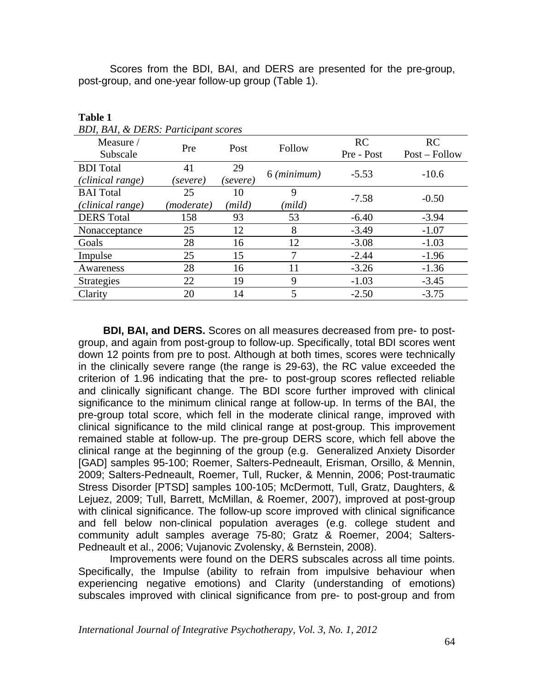Scores from the BDI, BAI, and DERS are presented for the pre-group, post-group, and one-year follow-up group (Table 1).

| BDI, BAI, & DERS: Participant scores |            |          |             |                  |                     |
|--------------------------------------|------------|----------|-------------|------------------|---------------------|
| Measure /<br>Subscale                | Pre        | Post     | Follow      | RC<br>Pre - Post | RC<br>Post – Follow |
| <b>BDI</b> Total                     | 41         | 29       | 6 (minimum) | $-5.53$          | $-10.6$             |
| (clinical range)                     | (severe)   | (severe) |             |                  |                     |
| <b>BAI</b> Total                     | 25         | 10       | 9           | $-7.58$          | $-0.50$             |
| (clinical range)                     | (moderate) | (mild)   | (mild)      |                  |                     |
| <b>DERS</b> Total                    | 158        | 93       | 53          | $-6.40$          | $-3.94$             |
| Nonacceptance                        | 25         | 12       | 8           | $-3.49$          | $-1.07$             |
| Goals                                | 28         | 16       | 12          | $-3.08$          | $-1.03$             |
| Impulse                              | 25         | 15       |             | $-2.44$          | $-1.96$             |
| Awareness                            | 28         | 16       | 11          | $-3.26$          | $-1.36$             |
| <b>Strategies</b>                    | 22         | 19       | 9           | $-1.03$          | $-3.45$             |
| Clarity                              | 20         | 14       | 5           | $-2.50$          | $-3.75$             |

**Table 1** 

**BDI, BAI, and DERS.** Scores on all measures decreased from pre- to postgroup, and again from post-group to follow-up. Specifically, total BDI scores went down 12 points from pre to post. Although at both times, scores were technically in the clinically severe range (the range is 29-63), the RC value exceeded the criterion of 1.96 indicating that the pre- to post-group scores reflected reliable and clinically significant change. The BDI score further improved with clinical significance to the minimum clinical range at follow-up. In terms of the BAI, the pre-group total score, which fell in the moderate clinical range, improved with clinical significance to the mild clinical range at post-group. This improvement remained stable at follow-up. The pre-group DERS score, which fell above the clinical range at the beginning of the group (e.g. Generalized Anxiety Disorder [GAD] samples 95-100; Roemer, Salters-Pedneault, Erisman, Orsillo, & Mennin, 2009; Salters-Pedneault, Roemer, Tull, Rucker, & Mennin, 2006; Post-traumatic Stress Disorder [PTSD] samples 100-105; McDermott, Tull, Gratz, Daughters, & Lejuez, 2009; Tull, Barrett, McMillan, & Roemer, 2007), improved at post-group with clinical significance. The follow-up score improved with clinical significance and fell below non-clinical population averages (e.g. college student and community adult samples average 75-80; Gratz & Roemer, 2004; Salters-Pedneault et al., 2006; Vujanovic Zvolensky, & Bernstein, 2008).

Improvements were found on the DERS subscales across all time points. Specifically, the Impulse (ability to refrain from impulsive behaviour when experiencing negative emotions) and Clarity (understanding of emotions) subscales improved with clinical significance from pre- to post-group and from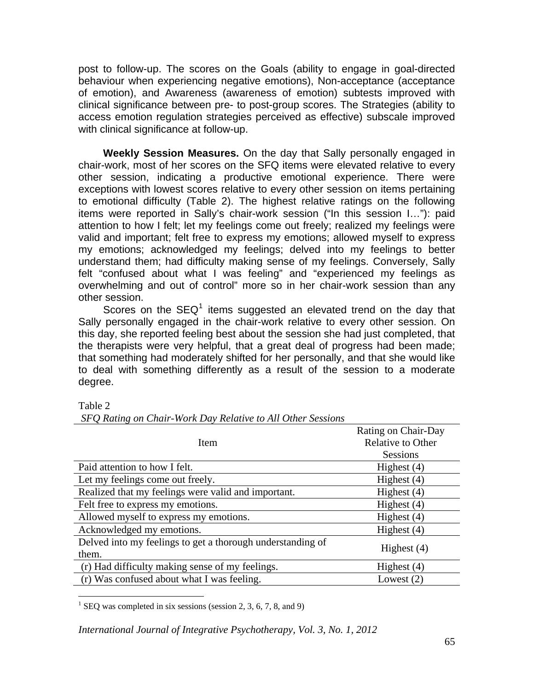post to follow-up. The scores on the Goals (ability to engage in goal-directed behaviour when experiencing negative emotions), Non-acceptance (acceptance of emotion), and Awareness (awareness of emotion) subtests improved with clinical significance between pre- to post-group scores. The Strategies (ability to access emotion regulation strategies perceived as effective) subscale improved with clinical significance at follow-up.

 **Weekly Session Measures.** On the day that Sally personally engaged in chair-work, most of her scores on the SFQ items were elevated relative to every other session, indicating a productive emotional experience. There were exceptions with lowest scores relative to every other session on items pertaining to emotional difficulty (Table 2). The highest relative ratings on the following items were reported in Sally's chair-work session ("In this session I…"): paid attention to how I felt; let my feelings come out freely; realized my feelings were valid and important; felt free to express my emotions; allowed myself to express my emotions; acknowledged my feelings; delved into my feelings to better understand them; had difficulty making sense of my feelings. Conversely, Sally felt "confused about what I was feeling" and "experienced my feelings as overwhelming and out of control" more so in her chair-work session than any other session.

Scores on the SEQ<sup>[1](#page-6-0)</sup> items suggested an elevated trend on the day that Sally personally engaged in the chair-work relative to every other session. On this day, she reported feeling best about the session she had just completed, that the therapists were very helpful, that a great deal of progress had been made; that something had moderately shifted for her personally, and that she would like to deal with something differently as a result of the session to a moderate degree.

Table 2

|                                                                     | Rating on Chair-Day      |
|---------------------------------------------------------------------|--------------------------|
| Item                                                                | <b>Relative to Other</b> |
|                                                                     | <b>Sessions</b>          |
| Paid attention to how I felt.                                       | Highest $(4)$            |
| Let my feelings come out freely.                                    | Highest $(4)$            |
| Realized that my feelings were valid and important.                 | Highest $(4)$            |
| Felt free to express my emotions.                                   | Highest $(4)$            |
| Allowed myself to express my emotions.                              | Highest $(4)$            |
| Acknowledged my emotions.                                           | Highest $(4)$            |
| Delved into my feelings to get a thorough understanding of<br>them. | Highest $(4)$            |
| (r) Had difficulty making sense of my feelings.                     | Highest $(4)$            |
| (r) Was confused about what I was feeling.                          | Lowest $(2)$             |

*SFQ Rating on Chair-Work Day Relative to All Other Sessions* 

<span id="page-6-0"></span> $\overline{a}$ <sup>1</sup> SEQ was completed in six sessions (session 2, 3, 6, 7, 8, and 9)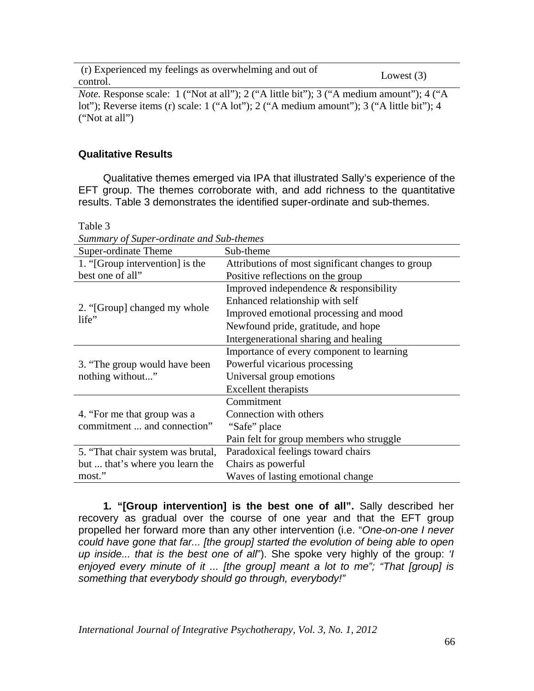(r) Experienced my feelings as overwhelming and out of control. Lowest (3)

*Note.* Response scale: 1 ("Not at all"); 2 ("A little bit"); 3 ("A medium amount"); 4 ("A lot"); Reverse items (r) scale: 1 ("A lot"); 2 ("A medium amount"); 3 ("A little bit"); 4 ("Not at all")

#### **Qualitative Results**

Qualitative themes emerged via IPA that illustrated Sally's experience of the EFT group. The themes corroborate with, and add richness to the quantitative results. Table 3 demonstrates the identified super-ordinate and sub-themes.

| Summary of Super-orainate and Sub-inemes |                                                   |  |  |
|------------------------------------------|---------------------------------------------------|--|--|
| Super-ordinate Theme                     | Sub-theme                                         |  |  |
| 1. "[Group intervention] is the          | Attributions of most significant changes to group |  |  |
| best one of all"                         | Positive reflections on the group                 |  |  |
|                                          | Improved independence $&$ responsibility          |  |  |
|                                          | Enhanced relationship with self                   |  |  |
| 2. "[Group] changed my whole<br>life"    | Improved emotional processing and mood            |  |  |
|                                          | Newfound pride, gratitude, and hope               |  |  |
|                                          | Intergenerational sharing and healing             |  |  |
|                                          | Importance of every component to learning         |  |  |
| 3. "The group would have been            | Powerful vicarious processing                     |  |  |
| nothing without"                         | Universal group emotions                          |  |  |
|                                          | <b>Excellent</b> therapists                       |  |  |
|                                          | Commitment                                        |  |  |
| 4. "For me that group was a              | Connection with others                            |  |  |
| commitment  and connection"              | "Safe" place                                      |  |  |
|                                          | Pain felt for group members who struggle          |  |  |
| 5. "That chair system was brutal,        | Paradoxical feelings toward chairs                |  |  |
| but  that's where you learn the          | Chairs as powerful                                |  |  |
| most."                                   | Waves of lasting emotional change                 |  |  |

Table 3

*Summary of Super-ordinate and Sub-themes* 

**1***.* **"[Group intervention] is the best one of all".** Sally described her recovery as gradual over the course of one year and that the EFT group propelled her forward more than any other intervention (i.e. "*One-on-one I never could have gone that far... [the group] started the evolution of being able to open up inside... that is the best one of all*"). She spoke very highly of the group: *'I enjoyed every minute of it ... [the group] meant a lot to me"; "That [group] is something that everybody should go through, everybody!"*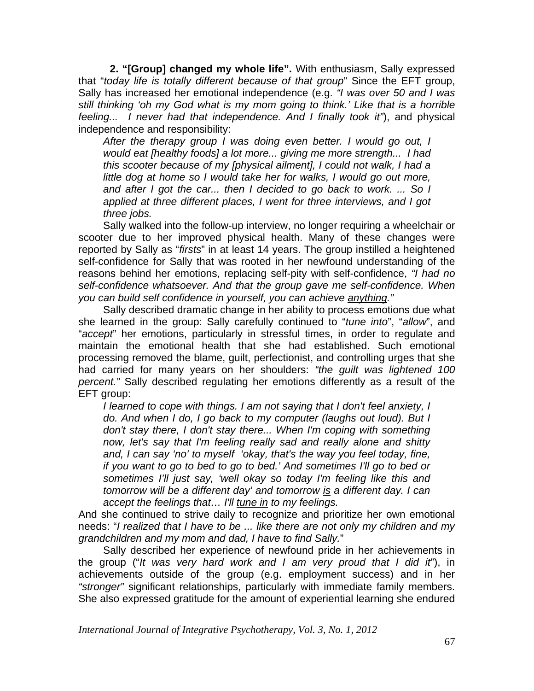**2. "[Group] changed my whole life".** With enthusiasm, Sally expressed that "*today life is totally different because of that group*" Since the EFT group, Sally has increased her emotional independence (e.g. *"I was over 50 and I was still thinking 'oh my God what is my mom going to think.' Like that is a horrible feeling... I never had that independence. And I finally took it"*), and physical independence and responsibility:

*After the therapy group I was doing even better. I would go out, I would eat [healthy foods] a lot more... giving me more strength... I had this scooter because of my [physical ailment], I could not walk, I had a little dog at home so I would take her for walks, I would go out more, and after I got the car... then I decided to go back to work. ... So I applied at three different places, I went for three interviews, and I got three jobs.*

Sally walked into the follow-up interview, no longer requiring a wheelchair or scooter due to her improved physical health. Many of these changes were reported by Sally as "*firsts*" in at least 14 years. The group instilled a heightened self-confidence for Sally that was rooted in her newfound understanding of the reasons behind her emotions, replacing self-pity with self-confidence, *"I had no self-confidence whatsoever. And that the group gave me self-confidence. When you can build self confidence in yourself, you can achieve anything."*

 Sally described dramatic change in her ability to process emotions due what she learned in the group: Sally carefully continued to "*tune into*", "*allow*", and "*accept*" her emotions, particularly in stressful times, in order to regulate and maintain the emotional health that she had established. Such emotional processing removed the blame, guilt, perfectionist, and controlling urges that she had carried for many years on her shoulders: *"the guilt was lightened 100 percent."* Sally described regulating her emotions differently as a result of the EFT group:

*I learned to cope with things. I am not saying that I don't feel anxiety, I do. And when I do, I go back to my computer (laughs out loud). But I don't stay there, I don't stay there... When I'm coping with something now, let's say that I'm feeling really sad and really alone and shitty and, I can say 'no' to myself 'okay, that's the way you feel today, fine, if you want to go to bed to go to bed.' And sometimes I'll go to bed or sometimes I'll just say, 'well okay so today I'm feeling like this and tomorrow will be a different day' and tomorrow is a different day. I can accept the feelings that… I'll tune in to my feelings.* 

And she continued to strive daily to recognize and prioritize her own emotional needs: "*I realized that I have to be ... like there are not only my children and my grandchildren and my mom and dad, I have to find Sally.*"

 Sally described her experience of newfound pride in her achievements in the group ("*It was very hard work and I am very proud that I did it*"), in achievements outside of the group (e.g. employment success) and in her *"stronger"* significant relationships, particularly with immediate family members. She also expressed gratitude for the amount of experiential learning she endured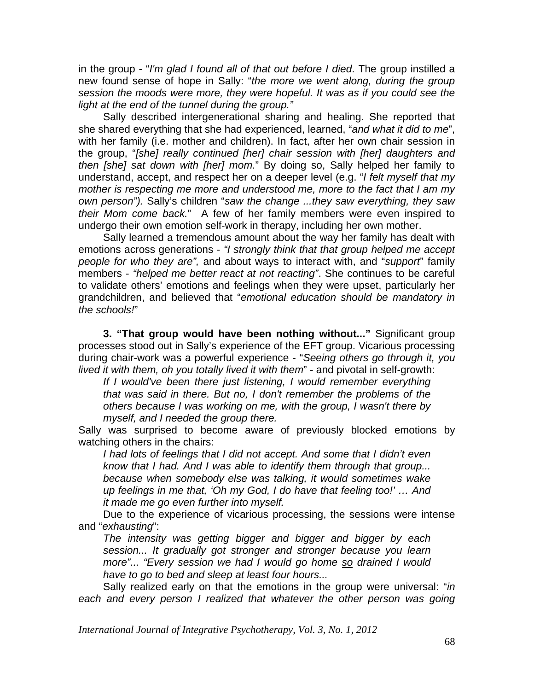in the group - "*I'm glad I found all of that out before I died*. The group instilled a new found sense of hope in Sally: "*the more we went along, during the group session the moods were more, they were hopeful. It was as if you could see the light at the end of the tunnel during the group."* 

Sally described intergenerational sharing and healing. She reported that she shared everything that she had experienced, learned, "*and what it did to me*", with her family (i.e. mother and children). In fact, after her own chair session in the group, "*[she] really continued [her] chair session with [her] daughters and then [she] sat down with [her] mom.*" By doing so, Sally helped her family to understand, accept, and respect her on a deeper level (e.g. "*I felt myself that my mother is respecting me more and understood me, more to the fact that I am my own person").* Sally's children "*saw the change ...they saw everything, they saw their Mom come back.*" A few of her family members were even inspired to undergo their own emotion self-work in therapy, including her own mother.

 Sally learned a tremendous amount about the way her family has dealt with emotions across generations - *"I strongly think that that group helped me accept people for who they are",* and about ways to interact with, and "*support*" family members - *"helped me better react at not reacting"*. She continues to be careful to validate others' emotions and feelings when they were upset, particularly her grandchildren, and believed that "*emotional education should be mandatory in the schools!*"

**3. "That group would have been nothing without..."** Significant group processes stood out in Sally's experience of the EFT group. Vicarious processing during chair-work was a powerful experience - "*Seeing others go through it, you lived it with them, oh you totally lived it with them*" - and pivotal in self-growth:

*If I would've been there just listening, I would remember everything that was said in there. But no, I don't remember the problems of the others because I was working on me, with the group, I wasn't there by myself, and I needed the group there.*

Sally was surprised to become aware of previously blocked emotions by watching others in the chairs:

*I had lots of feelings that I did not accept. And some that I didn't even know that I had. And I was able to identify them through that group... because when somebody else was talking, it would sometimes wake up feelings in me that, 'Oh my God, I do have that feeling too!' … And it made me go even further into myself.* 

 Due to the experience of vicarious processing, the sessions were intense and "*exhausting*":

*The intensity was getting bigger and bigger and bigger by each session... It gradually got stronger and stronger because you learn more"... "Every session we had I would go home so drained I would have to go to bed and sleep at least four hours...* 

Sally realized early on that the emotions in the group were universal: "*in*  each and every person I realized that whatever the other person was going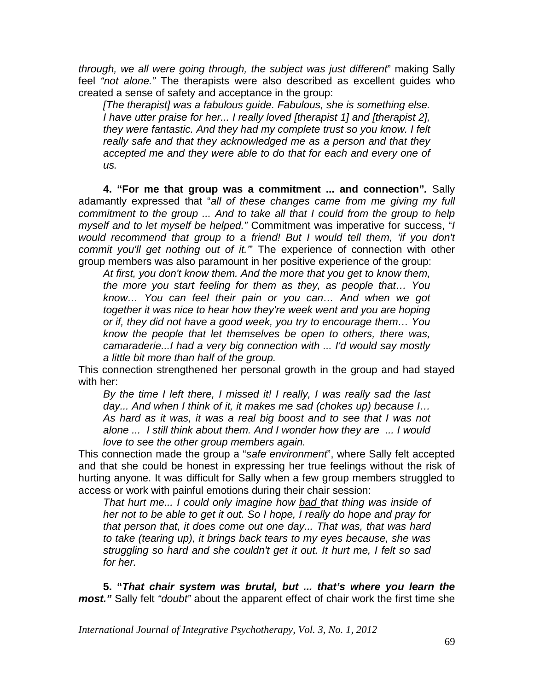*through, we all were going through, the subject was just different*" making Sally feel *"not alone."* The therapists were also described as excellent guides who created a sense of safety and acceptance in the group:

*[The therapist] was a fabulous guide. Fabulous, she is something else. I have utter praise for her... I really loved [therapist 1] and [therapist 2], they were fantastic. And they had my complete trust so you know. I felt really safe and that they acknowledged me as a person and that they accepted me and they were able to do that for each and every one of us.* 

**4. "For me that group was a commitment ... and connection"***.* Sally adamantly expressed that "*all of these changes came from me giving my full commitment to the group ... And to take all that I could from the group to help myself and to let myself be helped."* Commitment was imperative for success, "*I*  would recommend that group to a friend! But I would tell them, 'if you don't *commit you'll get nothing out of it.'*" The experience of connection with other group members was also paramount in her positive experience of the group:

*At first, you don't know them. And the more that you get to know them, the more you start feeling for them as they, as people that… You know… You can feel their pain or you can… And when we got together it was nice to hear how they're week went and you are hoping or if, they did not have a good week, you try to encourage them… You know the people that let themselves be open to others, there was, camaraderie...I had a very big connection with ... I'd would say mostly a little bit more than half of the group.*

This connection strengthened her personal growth in the group and had stayed with her:

*By the time I left there, I missed it! I really, I was really sad the last day... And when I think of it, it makes me sad (chokes up) because I… As hard as it was, it was a real big boost and to see that I was not alone ... I still think about them. And I wonder how they are ... I would love to see the other group members again.* 

This connection made the group a "*safe environment*", where Sally felt accepted and that she could be honest in expressing her true feelings without the risk of hurting anyone. It was difficult for Sally when a few group members struggled to access or work with painful emotions during their chair session:

*That hurt me... I could only imagine how bad that thing was inside of her not to be able to get it out. So I hope, I really do hope and pray for that person that, it does come out one day... That was, that was hard to take (tearing up), it brings back tears to my eyes because, she was struggling so hard and she couldn't get it out. It hurt me, I felt so sad for her.* 

**5. "***That chair system was brutal, but ... that's where you learn the most."* Sally felt *"doubt"* about the apparent effect of chair work the first time she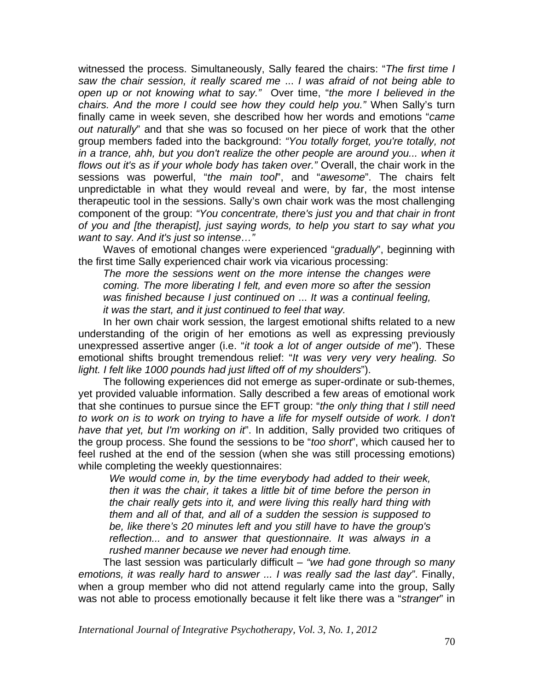witnessed the process. Simultaneously, Sally feared the chairs: "*The first time I saw the chair session, it really scared me* ... *I was afraid of not being able to open up or not knowing what to say."* Over time, "*the more I believed in the chairs. And the more I could see how they could help you."* When Sally's turn finally came in week seven, she described how her words and emotions "*came out naturally*" and that she was so focused on her piece of work that the other group members faded into the background: *"You totally forget, you're totally, not*  in a trance, ahh, but you don't realize the other people are around you... when it *flows out it's as if your whole body has taken over."* Overall, the chair work in the sessions was powerful, "*the main tool*", and "*awesome*". The chairs felt unpredictable in what they would reveal and were, by far, the most intense therapeutic tool in the sessions. Sally's own chair work was the most challenging component of the group: *"You concentrate, there's just you and that chair in front of you and [the therapist], just saying words, to help you start to say what you want to say. And it's just so intense…"* 

 Waves of emotional changes were experienced "*gradually*", beginning with the first time Sally experienced chair work via vicarious processing:

*The more the sessions went on the more intense the changes were coming. The more liberating I felt, and even more so after the session was finished because I just continued on* ... *It was a continual feeling, it was the start, and it just continued to feel that way.*

 In her own chair work session, the largest emotional shifts related to a new understanding of the origin of her emotions as well as expressing previously unexpressed assertive anger (i.e. "*it took a lot of anger outside of me*"). These emotional shifts brought tremendous relief: "*It was very very very healing. So light. I felt like 1000 pounds had just lifted off of my shoulders*").

 The following experiences did not emerge as super-ordinate or sub-themes, yet provided valuable information. Sally described a few areas of emotional work that she continues to pursue since the EFT group: "*the only thing that I still need*  to work on is to work on trying to have a life for myself outside of work. I don't *have that yet, but I'm working on it*". In addition, Sally provided two critiques of the group process. She found the sessions to be "*too short*", which caused her to feel rushed at the end of the session (when she was still processing emotions) while completing the weekly questionnaires:

*We would come in, by the time everybody had added to their week, then it was the chair, it takes a little bit of time before the person in the chair really gets into it, and were living this really hard thing with them and all of that, and all of a sudden the session is supposed to be, like there's 20 minutes left and you still have to have the group's reflection... and to answer that questionnaire. It was always in a rushed manner because we never had enough time.* 

The last session was particularly difficult *– "we had gone through so many emotions, it was really hard to answer ... I was really sad the last day"*. Finally, when a group member who did not attend regularly came into the group, Sally was not able to process emotionally because it felt like there was a "*stranger*" in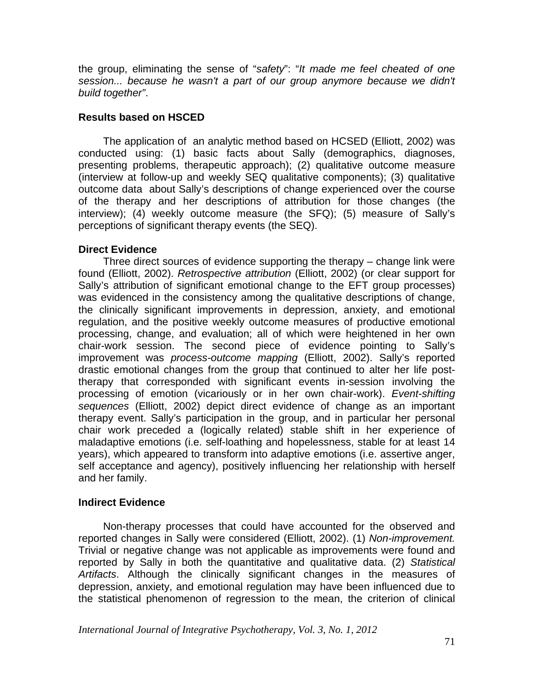the group, eliminating the sense of "*safety*": "*It made me feel cheated of one session... because he wasn't a part of our group anymore because we didn't build together"*.

# **Results based on HSCED**

 The application of an analytic method based on HCSED (Elliott, 2002) was conducted using: (1) basic facts about Sally (demographics, diagnoses, presenting problems, therapeutic approach); (2) qualitative outcome measure (interview at follow-up and weekly SEQ qualitative components); (3) qualitative outcome data about Sally's descriptions of change experienced over the course of the therapy and her descriptions of attribution for those changes (the interview); (4) weekly outcome measure (the SFQ); (5) measure of Sally's perceptions of significant therapy events (the SEQ).

# **Direct Evidence**

Three direct sources of evidence supporting the therapy – change link were found (Elliott, 2002). *Retrospective attribution* (Elliott, 2002) (or clear support for Sally's attribution of significant emotional change to the EFT group processes) was evidenced in the consistency among the qualitative descriptions of change, the clinically significant improvements in depression, anxiety, and emotional regulation, and the positive weekly outcome measures of productive emotional processing, change, and evaluation; all of which were heightened in her own chair-work session. The second piece of evidence pointing to Sally's improvement was *process-outcome mapping* (Elliott, 2002). Sally's reported drastic emotional changes from the group that continued to alter her life posttherapy that corresponded with significant events in-session involving the processing of emotion (vicariously or in her own chair-work). *Event-shifting sequences* (Elliott, 2002) depict direct evidence of change as an important therapy event. Sally's participation in the group, and in particular her personal chair work preceded a (logically related) stable shift in her experience of maladaptive emotions (i.e. self-loathing and hopelessness, stable for at least 14 years), which appeared to transform into adaptive emotions (i.e. assertive anger, self acceptance and agency), positively influencing her relationship with herself and her family.

# **Indirect Evidence**

Non-therapy processes that could have accounted for the observed and reported changes in Sally were considered (Elliott, 2002). (1) *Non-improvement.* Trivial or negative change was not applicable as improvements were found and reported by Sally in both the quantitative and qualitative data. (2) *Statistical Artifacts*. Although the clinically significant changes in the measures of depression, anxiety, and emotional regulation may have been influenced due to the statistical phenomenon of regression to the mean, the criterion of clinical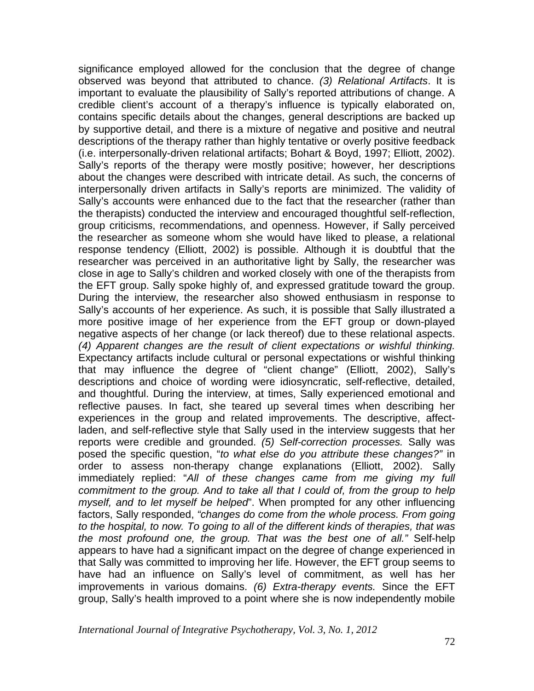significance employed allowed for the conclusion that the degree of change observed was beyond that attributed to chance. *(3) Relational Artifacts*. It is important to evaluate the plausibility of Sally's reported attributions of change. A credible client's account of a therapy's influence is typically elaborated on, contains specific details about the changes, general descriptions are backed up by supportive detail, and there is a mixture of negative and positive and neutral descriptions of the therapy rather than highly tentative or overly positive feedback (i.e. interpersonally-driven relational artifacts; Bohart & Boyd, 1997; Elliott, 2002). Sally's reports of the therapy were mostly positive; however, her descriptions about the changes were described with intricate detail. As such, the concerns of interpersonally driven artifacts in Sally's reports are minimized. The validity of Sally's accounts were enhanced due to the fact that the researcher (rather than the therapists) conducted the interview and encouraged thoughtful self-reflection, group criticisms, recommendations, and openness. However, if Sally perceived the researcher as someone whom she would have liked to please, a relational response tendency (Elliott, 2002) is possible. Although it is doubtful that the researcher was perceived in an authoritative light by Sally, the researcher was close in age to Sally's children and worked closely with one of the therapists from the EFT group. Sally spoke highly of, and expressed gratitude toward the group. During the interview, the researcher also showed enthusiasm in response to Sally's accounts of her experience. As such, it is possible that Sally illustrated a more positive image of her experience from the EFT group or down-played negative aspects of her change (or lack thereof) due to these relational aspects. *(4) Apparent changes are the result of client expectations or wishful thinking.*  Expectancy artifacts include cultural or personal expectations or wishful thinking that may influence the degree of "client change" (Elliott, 2002), Sally's descriptions and choice of wording were idiosyncratic, self-reflective, detailed, and thoughtful. During the interview, at times, Sally experienced emotional and reflective pauses. In fact, she teared up several times when describing her experiences in the group and related improvements. The descriptive, affectladen, and self-reflective style that Sally used in the interview suggests that her reports were credible and grounded. *(5) Self-correction processes.* Sally was posed the specific question, "*to what else do you attribute these changes?"* in order to assess non-therapy change explanations (Elliott, 2002). Sally immediately replied: "*All of these changes came from me giving my full commitment to the group. And to take all that I could of, from the group to help myself, and to let myself be helped*". When prompted for any other influencing factors, Sally responded, *"changes do come from the whole process. From going to the hospital, to now. To going to all of the different kinds of therapies, that was the most profound one, the group. That was the best one of all."* Self-help appears to have had a significant impact on the degree of change experienced in that Sally was committed to improving her life. However, the EFT group seems to have had an influence on Sally's level of commitment, as well has her improvements in various domains. *(6) Extra-therapy events.* Since the EFT group, Sally's health improved to a point where she is now independently mobile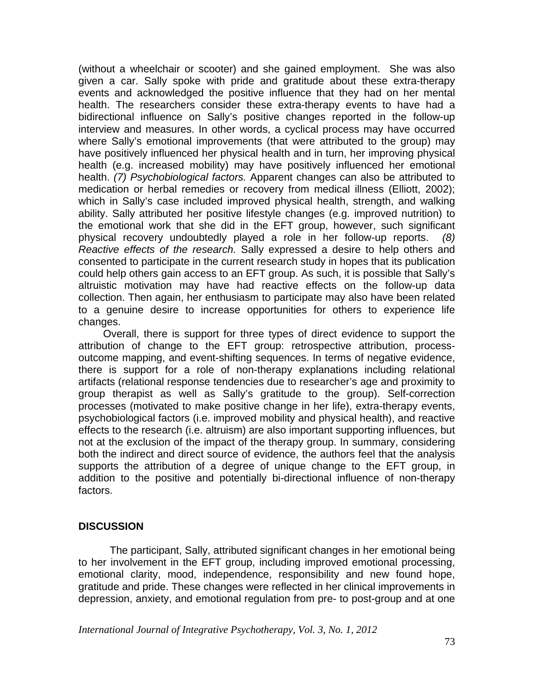(without a wheelchair or scooter) and she gained employment. She was also given a car. Sally spoke with pride and gratitude about these extra-therapy events and acknowledged the positive influence that they had on her mental health. The researchers consider these extra-therapy events to have had a bidirectional influence on Sally's positive changes reported in the follow-up interview and measures. In other words, a cyclical process may have occurred where Sally's emotional improvements (that were attributed to the group) may have positively influenced her physical health and in turn, her improving physical health (e.g. increased mobility) may have positively influenced her emotional health. *(7) Psychobiological factors.* Apparent changes can also be attributed to medication or herbal remedies or recovery from medical illness (Elliott, 2002); which in Sally's case included improved physical health, strength, and walking ability. Sally attributed her positive lifestyle changes (e.g. improved nutrition) to the emotional work that she did in the EFT group, however, such significant physical recovery undoubtedly played a role in her follow-up reports. *(8) Reactive effects of the research.* Sally expressed a desire to help others and consented to participate in the current research study in hopes that its publication could help others gain access to an EFT group. As such, it is possible that Sally's altruistic motivation may have had reactive effects on the follow-up data collection. Then again, her enthusiasm to participate may also have been related to a genuine desire to increase opportunities for others to experience life changes.

 Overall, there is support for three types of direct evidence to support the attribution of change to the EFT group: retrospective attribution, processoutcome mapping, and event-shifting sequences. In terms of negative evidence, there is support for a role of non-therapy explanations including relational artifacts (relational response tendencies due to researcher's age and proximity to group therapist as well as Sally's gratitude to the group). Self-correction processes (motivated to make positive change in her life), extra-therapy events, psychobiological factors (i.e. improved mobility and physical health), and reactive effects to the research (i.e. altruism) are also important supporting influences, but not at the exclusion of the impact of the therapy group. In summary, considering both the indirect and direct source of evidence, the authors feel that the analysis supports the attribution of a degree of unique change to the EFT group, in addition to the positive and potentially bi-directional influence of non-therapy factors.

#### **DISCUSSION**

 The participant, Sally, attributed significant changes in her emotional being to her involvement in the EFT group, including improved emotional processing, emotional clarity, mood, independence, responsibility and new found hope, gratitude and pride. These changes were reflected in her clinical improvements in depression, anxiety, and emotional regulation from pre- to post-group and at one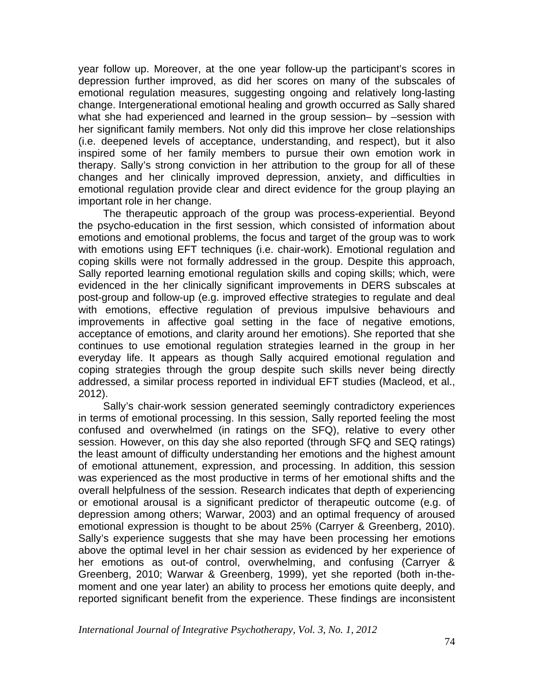year follow up. Moreover, at the one year follow-up the participant's scores in depression further improved, as did her scores on many of the subscales of emotional regulation measures, suggesting ongoing and relatively long-lasting change. Intergenerational emotional healing and growth occurred as Sally shared what she had experienced and learned in the group session– by –session with her significant family members. Not only did this improve her close relationships (i.e. deepened levels of acceptance, understanding, and respect), but it also inspired some of her family members to pursue their own emotion work in therapy. Sally's strong conviction in her attribution to the group for all of these changes and her clinically improved depression, anxiety, and difficulties in emotional regulation provide clear and direct evidence for the group playing an important role in her change.

 The therapeutic approach of the group was process-experiential. Beyond the psycho-education in the first session, which consisted of information about emotions and emotional problems, the focus and target of the group was to work with emotions using EFT techniques (i.e. chair-work). Emotional regulation and coping skills were not formally addressed in the group. Despite this approach, Sally reported learning emotional regulation skills and coping skills; which, were evidenced in the her clinically significant improvements in DERS subscales at post-group and follow-up (e.g. improved effective strategies to regulate and deal with emotions, effective regulation of previous impulsive behaviours and improvements in affective goal setting in the face of negative emotions, acceptance of emotions, and clarity around her emotions). She reported that she continues to use emotional regulation strategies learned in the group in her everyday life. It appears as though Sally acquired emotional regulation and coping strategies through the group despite such skills never being directly addressed, a similar process reported in individual EFT studies (Macleod, et al., 2012).

 Sally's chair-work session generated seemingly contradictory experiences in terms of emotional processing. In this session, Sally reported feeling the most confused and overwhelmed (in ratings on the SFQ), relative to every other session. However, on this day she also reported (through SFQ and SEQ ratings) the least amount of difficulty understanding her emotions and the highest amount of emotional attunement, expression, and processing. In addition, this session was experienced as the most productive in terms of her emotional shifts and the overall helpfulness of the session. Research indicates that depth of experiencing or emotional arousal is a significant predictor of therapeutic outcome (e.g. of depression among others; Warwar, 2003) and an optimal frequency of aroused emotional expression is thought to be about 25% (Carryer & Greenberg, 2010). Sally's experience suggests that she may have been processing her emotions above the optimal level in her chair session as evidenced by her experience of her emotions as out-of control, overwhelming, and confusing (Carryer & Greenberg, 2010; Warwar & Greenberg, 1999), yet she reported (both in-themoment and one year later) an ability to process her emotions quite deeply, and reported significant benefit from the experience. These findings are inconsistent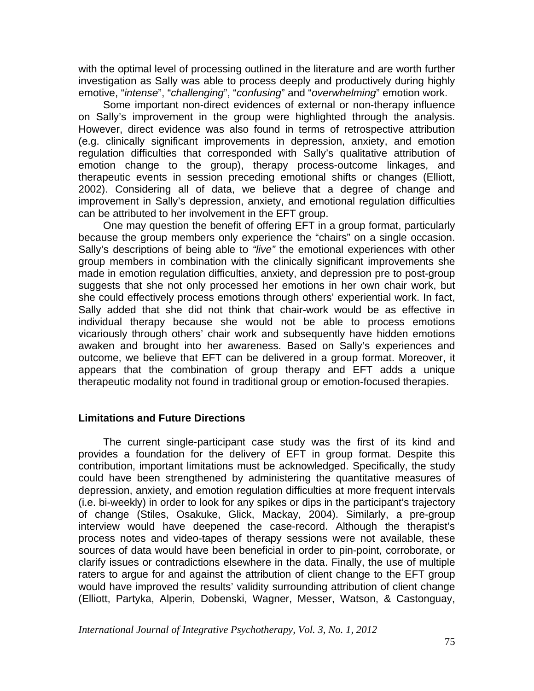with the optimal level of processing outlined in the literature and are worth further investigation as Sally was able to process deeply and productively during highly emotive, "*intense*", "*challenging*", "*confusing*" and "*overwhelming*" emotion work.

 Some important non-direct evidences of external or non-therapy influence on Sally's improvement in the group were highlighted through the analysis. However, direct evidence was also found in terms of retrospective attribution (e.g. clinically significant improvements in depression, anxiety, and emotion regulation difficulties that corresponded with Sally's qualitative attribution of emotion change to the group), therapy process-outcome linkages, and therapeutic events in session preceding emotional shifts or changes (Elliott, 2002). Considering all of data, we believe that a degree of change and improvement in Sally's depression, anxiety, and emotional regulation difficulties can be attributed to her involvement in the EFT group.

 One may question the benefit of offering EFT in a group format, particularly because the group members only experience the "chairs" on a single occasion. Sally's descriptions of being able to *"live"* the emotional experiences with other group members in combination with the clinically significant improvements she made in emotion regulation difficulties, anxiety, and depression pre to post-group suggests that she not only processed her emotions in her own chair work, but she could effectively process emotions through others' experiential work. In fact, Sally added that she did not think that chair-work would be as effective in individual therapy because she would not be able to process emotions vicariously through others' chair work and subsequently have hidden emotions awaken and brought into her awareness. Based on Sally's experiences and outcome, we believe that EFT can be delivered in a group format. Moreover, it appears that the combination of group therapy and EFT adds a unique therapeutic modality not found in traditional group or emotion-focused therapies.

# **Limitations and Future Directions**

 The current single-participant case study was the first of its kind and provides a foundation for the delivery of EFT in group format. Despite this contribution, important limitations must be acknowledged. Specifically, the study could have been strengthened by administering the quantitative measures of depression, anxiety, and emotion regulation difficulties at more frequent intervals (i.e. bi-weekly) in order to look for any spikes or dips in the participant's trajectory of change (Stiles, Osakuke, Glick, Mackay, 2004). Similarly, a pre-group interview would have deepened the case-record. Although the therapist's process notes and video-tapes of therapy sessions were not available, these sources of data would have been beneficial in order to pin-point, corroborate, or clarify issues or contradictions elsewhere in the data. Finally, the use of multiple raters to argue for and against the attribution of client change to the EFT group would have improved the results' validity surrounding attribution of client change (Elliott, Partyka, Alperin, Dobenski, Wagner, Messer, Watson, & Castonguay,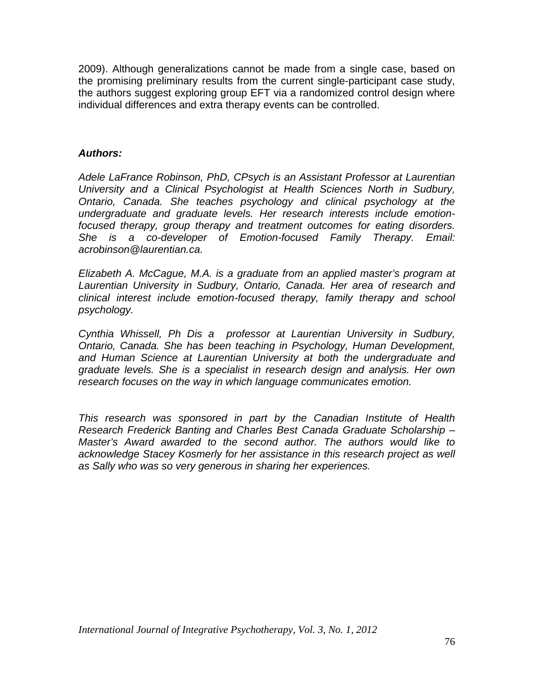2009). Although generalizations cannot be made from a single case, based on the promising preliminary results from the current single-participant case study, the authors suggest exploring group EFT via a randomized control design where individual differences and extra therapy events can be controlled.

# *Authors:*

*Adele LaFrance Robinson, PhD, CPsych is an Assistant Professor at Laurentian University and a Clinical Psychologist at Health Sciences North in Sudbury, Ontario, Canada. She teaches psychology and clinical psychology at the undergraduate and graduate levels. Her research interests include emotionfocused therapy, group therapy and treatment outcomes for eating disorders. She is a co-developer of Emotion-focused Family Therapy. Email: acrobinson@laurentian.ca.* 

*Elizabeth A. McCague, M.A. is a graduate from an applied master's program at Laurentian University in Sudbury, Ontario, Canada. Her area of research and clinical interest include emotion-focused therapy, family therapy and school psychology.* 

*Cynthia Whissell, Ph Dis a professor at Laurentian University in Sudbury, Ontario, Canada. She has been teaching in Psychology, Human Development, and Human Science at Laurentian University at both the undergraduate and graduate levels. She is a specialist in research design and analysis. Her own research focuses on the way in which language communicates emotion.* 

*This research was sponsored in part by the Canadian Institute of Health Research Frederick Banting and Charles Best Canada Graduate Scholarship – Master's Award awarded to the second author. The authors would like to*  acknowledge Stacey Kosmerly for her assistance in this research project as well *as Sally who was so very generous in sharing her experiences.*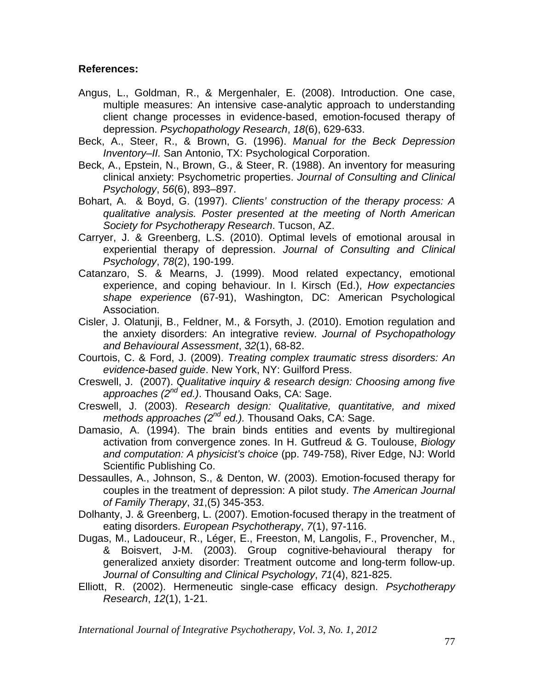# **References:**

- Angus, L., Goldman, R., & Mergenhaler, E. (2008). Introduction. One case, multiple measures: An intensive case-analytic approach to understanding client change processes in evidence-based, emotion-focused therapy of depression. *Psychopathology Research*, *18*(6), 629-633.
- Beck, A., Steer, R., & Brown, G. (1996). *Manual for the Beck Depression Inventory–II.* San Antonio, TX: Psychological Corporation.
- Beck, A., Epstein, N., Brown, G., & Steer, R. (1988). An inventory for measuring clinical anxiety: Psychometric properties. *Journal of Consulting and Clinical Psychology*, *56*(6), 893–897.
- Bohart, A. & Boyd, G. (1997). *Clients' construction of the therapy process: A qualitative analysis. Poster presented at the meeting of North American Society for Psychotherapy Research*. Tucson, AZ.
- Carryer, J. & Greenberg, L.S. (2010). Optimal levels of emotional arousal in experiential therapy of depression. *Journal of Consulting and Clinical Psychology*, *78*(2), 190-199.
- Catanzaro, S. & Mearns, J. (1999). Mood related expectancy, emotional experience, and coping behaviour. In I. Kirsch (Ed.), *How expectancies shape experience* (67-91), Washington, DC: American Psychological Association.
- Cisler, J. Olatunji, B., Feldner, M., & Forsyth, J. (2010). Emotion regulation and the anxiety disorders: An integrative review. *Journal of Psychopathology and Behavioural Assessment*, *32*(1), 68-82.
- Courtois, C. & Ford, J. (2009). *Treating complex traumatic stress disorders: An evidence-based guide*. New York, NY: Guilford Press.
- Creswell, J. (2007). *Qualitative inquiry & research design: Choosing among five approaches (2nd ed.)*. Thousand Oaks, CA: Sage.
- Creswell, J. (2003). *Research design: Qualitative, quantitative, and mixed methods approaches (2nd ed.).* Thousand Oaks, CA: Sage.
- Damasio, A. (1994). The brain binds entities and events by multiregional activation from convergence zones. In H. Gutfreud & G. Toulouse, *Biology and computation: A physicist's choice* (pp. 749-758), River Edge, NJ: World Scientific Publishing Co.
- Dessaulles, A., Johnson, S., & Denton, W. (2003). Emotion-focused therapy for couples in the treatment of depression: A pilot study. *The American Journal of Family Therapy*, *31*,(5) 345-353.
- Dolhanty, J. & Greenberg, L. (2007). Emotion-focused therapy in the treatment of eating disorders. *European Psychotherapy*, *7*(1), 97-116.
- Dugas, M., Ladouceur, R., Léger, E., Freeston, M, Langolis, F., Provencher, M., & Boisvert, J-M. (2003). Group cognitive-behavioural therapy for generalized anxiety disorder: Treatment outcome and long-term follow-up. *Journal of Consulting and Clinical Psychology*, *71*(4), 821-825.
- Elliott, R. (2002). Hermeneutic single-case efficacy design. *Psychotherapy Research*, *12*(1), 1-21.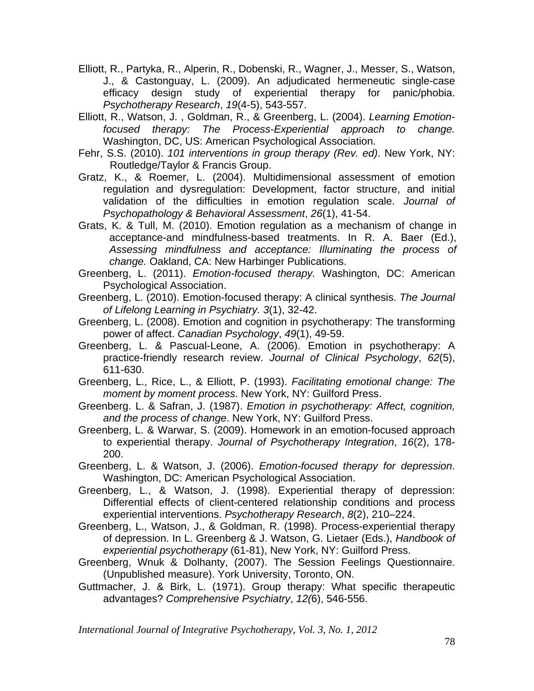- Elliott, R., Partyka, R., Alperin, R., Dobenski, R., Wagner, J., Messer, S., Watson, J., & Castonguay, L. (2009). An adjudicated hermeneutic single-case efficacy design study of experiential therapy for panic/phobia. *Psychotherapy Research*, *19*(4-5), 543-557.
- Elliott, R., Watson, J. , Goldman, R., & Greenberg, L. (2004). *Learning Emotionfocused therapy: The Process-Experiential approach to change.*  Washington, DC, US: American Psychological Association.
- Fehr, S.S. (2010). *101 interventions in group therapy (Rev. ed)*. New York, NY: Routledge/Taylor & Francis Group.
- Gratz, K., & Roemer, L. (2004). Multidimensional assessment of emotion regulation and dysregulation: Development, factor structure, and initial validation of the difficulties in emotion regulation scale. *Journal of Psychopathology & Behavioral Assessment*, *26*(1), 41-54.
- Grats, K. & Tull, M. (2010). Emotion regulation as a mechanism of change in acceptance-and mindfulness-based treatments. In R. A. Baer (Ed.), *Assessing mindfulness and acceptance: Illuminating the process of change.* Oakland, CA: New Harbinger Publications.
- Greenberg, L. (2011). *Emotion-focused therapy.* Washington, DC: American Psychological Association.
- Greenberg, L. (2010). Emotion-focused therapy: A clinical synthesis. *The Journal of Lifelong Learning in Psychiatry. 3*(1), 32-42.
- Greenberg, L. (2008). Emotion and cognition in psychotherapy: The transforming power of affect. *Canadian Psychology*, *49*(1), 49-59.
- Greenberg, L. & Pascual-Leone, A. (2006). Emotion in psychotherapy: A practice-friendly research review. *Journal of Clinical Psychology*, *62*(5), 611-630.
- Greenberg, L., Rice, L., & Elliott, P. (1993). *Facilitating emotional change: The moment by moment process*. New York, NY: Guilford Press.
- Greenberg. L. & Safran, J. (1987). *Emotion in psychotherapy: Affect, cognition, and the process of change*. New York, NY: Guilford Press.
- Greenberg, L. & Warwar, S. (2009). Homework in an emotion-focused approach to experiential therapy. *Journal of Psychotherapy Integration*, *16*(2), 178- 200.
- Greenberg, L. & Watson, J. (2006). *Emotion-focused therapy for depression*. Washington, DC: American Psychological Association.
- Greenberg, L., & Watson, J. (1998). Experiential therapy of depression: Differential effects of client-centered relationship conditions and process experiential interventions. *Psychotherapy Research*, *8*(2), 210–224.
- Greenberg, L., Watson, J., & Goldman, R. (1998). Process-experiential therapy of depression. In L. Greenberg & J. Watson, G. Lietaer (Eds.), *Handbook of experiential psychotherapy* (61-81), New York, NY: Guilford Press.
- Greenberg, Wnuk & Dolhanty, (2007). The Session Feelings Questionnaire. (Unpublished measure). York University, Toronto, ON.
- Guttmacher, J. & Birk, L. (1971). Group therapy: What specific therapeutic advantages? *Comprehensive Psychiatry*, *12(*6), 546-556.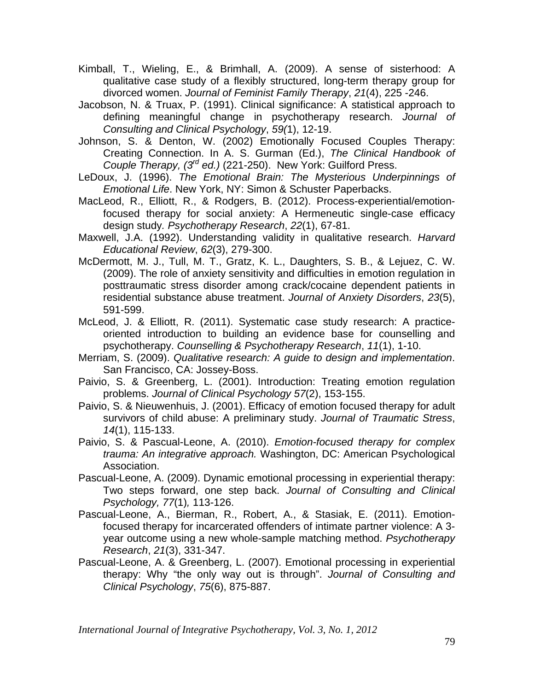- Kimball, T., Wieling, E., & Brimhall, A. (2009). A sense of sisterhood: A qualitative case study of a flexibly structured, long-term therapy group for divorced women. *Journal of Feminist Family Therapy*, *21*(4), 225 -246.
- Jacobson, N. & Truax, P. (1991). Clinical significance: A statistical approach to defining meaningful change in psychotherapy research. *Journal of Consulting and Clinical Psychology*, *59(*1), 12-19.
- Johnson, S. & Denton, W. (2002) Emotionally Focused Couples Therapy: Creating Connection. In A. S. Gurman (Ed.), *The Clinical Handbook of Couple Therapy, (3rd ed.)* (221-250). New York: Guilford Press.
- LeDoux, J. (1996). *The Emotional Brain: The Mysterious Underpinnings of Emotional Life*. New York, NY: Simon & Schuster Paperbacks.
- MacLeod, R., Elliott, R., & Rodgers, B. (2012). Process-experiential/emotionfocused therapy for social anxiety: A Hermeneutic single-case efficacy design study*. Psychotherapy Research*, *22*(1), 67-81.
- Maxwell, J.A. (1992). Understanding validity in qualitative research. *Harvard Educational Review*, *62*(3), 279-300.
- McDermott, M. J., Tull, M. T., Gratz, K. L., Daughters, S. B., & Lejuez, C. W. (2009). The role of anxiety sensitivity and difficulties in emotion regulation in posttraumatic stress disorder among crack/cocaine dependent patients in residential substance abuse treatment. *Journal of Anxiety Disorders*, *23*(5), 591-599.
- McLeod, J. & Elliott, R. (2011). Systematic case study research: A practiceoriented introduction to building an evidence base for counselling and psychotherapy. *Counselling & Psychotherapy Research*, *11*(1), 1-10.
- Merriam, S. (2009). *Qualitative research: A guide to design and implementation*. San Francisco, CA: Jossey-Boss.
- Paivio, S. & Greenberg, L. (2001). Introduction: Treating emotion regulation problems. *Journal of Clinical Psychology 57*(2), 153-155.
- Paivio, S. & Nieuwenhuis, J. (2001). Efficacy of emotion focused therapy for adult survivors of child abuse: A preliminary study. *Journal of Traumatic Stress*, *14*(1), 115-133.
- Paivio, S. & Pascual-Leone, A. (2010). *Emotion-focused therapy for complex trauma: An integrative approach.* Washington, DC: American Psychological Association.
- Pascual-Leone, A. (2009). Dynamic emotional processing in experiential therapy: Two steps forward, one step back. *Journal of Consulting and Clinical Psychology, 77*(1)*,* 113-126.
- Pascual-Leone, A., Bierman, R., Robert, A., & Stasiak, E. (2011). Emotionfocused therapy for incarcerated offenders of intimate partner violence: A 3 year outcome using a new whole-sample matching method. *Psychotherapy Research*, *21*(3), 331-347.
- Pascual-Leone, A. & Greenberg, L. (2007). Emotional processing in experiential therapy: Why "the only way out is through". *Journal of Consulting and Clinical Psychology*, *75*(6), 875-887.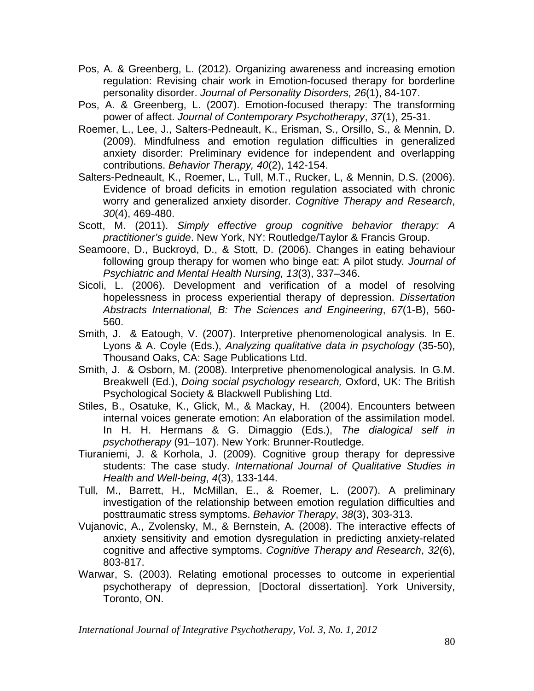- Pos, A. & Greenberg, L. (2012). Organizing awareness and increasing emotion regulation: Revising chair work in Emotion-focused therapy for borderline personality disorder. *Journal of Personality Disorders, 26*(1), 84-107.
- Pos, A. & Greenberg, L. (2007). Emotion-focused therapy: The transforming power of affect. *Journal of Contemporary Psychotherapy*, *37*(1), 25-31.
- Roemer, L., Lee, J., Salters-Pedneault, K., Erisman, S., Orsillo, S., & Mennin, D. (2009). Mindfulness and emotion regulation difficulties in generalized anxiety disorder: Preliminary evidence for independent and overlapping contributions. *Behavior Therapy, 40*(2), 142-154.
- Salters-Pedneault, K., Roemer, L., Tull, M.T., Rucker, L, & Mennin, D.S. (2006). Evidence of broad deficits in emotion regulation associated with chronic worry and generalized anxiety disorder. *Cognitive Therapy and Research*, *30*(4), 469-480.
- Scott, M. (2011). *Simply effective group cognitive behavior therapy: A practitioner's guide*. New York, NY: Routledge/Taylor & Francis Group.
- Seamoore, D., Buckroyd, D., & Stott, D. (2006). Changes in eating behaviour following group therapy for women who binge eat: A pilot study*. Journal of Psychiatric and Mental Health Nursing, 13*(3), 337–346.
- Sicoli, L. (2006). Development and verification of a model of resolving hopelessness in process experiential therapy of depression. *Dissertation Abstracts International, B: The Sciences and Engineering*, *67*(1-B), 560- 560.
- Smith, J. & Eatough, V. (2007). Interpretive phenomenological analysis. In E. Lyons & A. Coyle (Eds.), *Analyzing qualitative data in psychology* (35-50), Thousand Oaks, CA: Sage Publications Ltd.
- Smith, J. & Osborn, M. (2008). Interpretive phenomenological analysis. In G.M. Breakwell (Ed.), *Doing social psychology research,* Oxford, UK: The British Psychological Society & Blackwell Publishing Ltd.
- Stiles, B., Osatuke, K., Glick, M., & Mackay, H. (2004). Encounters between internal voices generate emotion: An elaboration of the assimilation model. In H. H. Hermans & G. Dimaggio (Eds.), *The dialogical self in psychotherapy* (91–107). New York: Brunner-Routledge.
- Tiuraniemi, J. & Korhola, J. (2009). Cognitive group therapy for depressive students: The case study. *International Journal of Qualitative Studies in Health and Well-being*, *4*(3), 133-144.
- Tull, M., Barrett, H., McMillan, E., & Roemer, L. (2007). A preliminary investigation of the relationship between emotion regulation difficulties and posttraumatic stress symptoms. *Behavior Therapy*, *38*(3), 303-313.
- Vujanovic, A., Zvolensky, M., & Bernstein, A. (2008). The interactive effects of anxiety sensitivity and emotion dysregulation in predicting anxiety-related cognitive and affective symptoms. *Cognitive Therapy and Research*, *32*(6), 803-817.
- Warwar, S. (2003). Relating emotional processes to outcome in experiential psychotherapy of depression, [Doctoral dissertation]. York University, Toronto, ON.